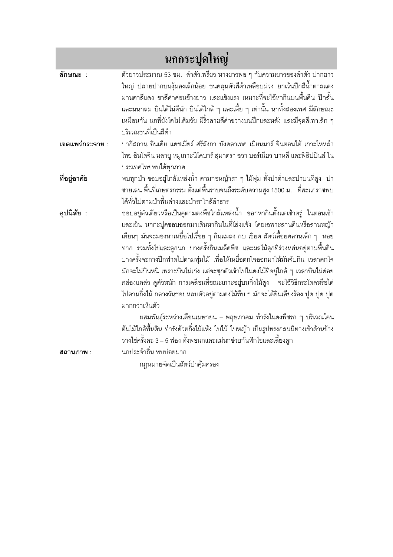| นกกระปูดใหญ่    |                                                                                     |
|-----------------|-------------------------------------------------------------------------------------|
| ลักษณะ :        | ตัวยาวประมาณ 53 ซม.  ลำตัวเพรียว หางยาวพอ ๆ กับความยาวของลำตัว ปากยาว               |
|                 | ใหญ่ ปลายปากบนงุ้มลงเล็กน้อย ขนคลุมตัวสีดำเหลือบม่วง ยกเว้นปีกสีน้ำตาลแดง           |
|                 | ม่านตาสีแดง ขาสีดำค่อนข้างยาว และแข็งแรง เหมาะที่จะใช้หากินบนพื้นดิน ปีกสั้น        |
|                 | และมนกลม บินได้ไม่ดีนัก บินได้ใกล้ ๆ และเตี้ย ๆ เท่านั้น นกทั้งสองเพศ มีลักษณะ      |
|                 | เหมือนกัน นกที่ยังโตไม่เต็มวัย มีริ้วลายสีดำขวางบนปีกและหลัง และมีจุดสีเทาเล็ก ๆ    |
|                 | บริเวณขนที่เป็นสีดำ                                                                 |
| เขตแพร่กระจาย : | ปากีสถาน อินเดีย แคชเมียร์ ศรีลังกา บังคลาเทศ เมียนมาร์ จีนตอนใต้ เกาะไหหลำ         |
|                 | ไทย อินโดจีน มลายู หมู่เกาะนิโคบาร์ สุมาตรา ชวา บอร์เนียว บาหลี และฟิลิปปินส์ ใน    |
|                 | ประเทศไทยพบได้ทุกภาค                                                                |
| ที่อยู่อาศัย    | พบทุกป่า ชอบอยู่ใกล้แหล่งน้ำ ตามกอหญ้ารก ๆ ไม้พุ่ม ทั้งป่าต่ำและป่าบนที่สูง  ป่า    |
|                 | ชายเลน พื้นที่เกษตรกรรม ตั้งแต่พื้นราบจนถึงระดับความสูง 1500 ม.   ที่สะแกราชพบ      |
|                 | ได้ทั่วไปตามป่าพื้นล่างและป่ารกใกล้ลำธาร                                            |
| อุปนิสัย :      | ชอบอยู่ตัวเดียวหรือเป็นคู่ตามดงพืชใกล้แหล่งน้ำ ออกหากินตั้งแต่เช้าตรู่ ในตอนเช้า    |
|                 | และเย็น นกกะปูดชอบออกมาเดินหากินในที่โล่งแจ้ง โดยเฉพาะลานดินหรือลานหญ้า             |
|                 | เตียนๆ มันจะมองหาเหยื่อไปเรื่อย ๆ กินแมลง กบ เขียด สัตว์เลื้อยคลานเล็ก ๆ  หอย       |
|                 | ทาก รวมทั้งไข่และลูกนก บางครั้งกินเมล็ดพืช และผลไม้สุกที่ร่วงหล่นอยู่ตามพื้นดิน     |
|                 | บางครั้งจะกางปีกฟาดไปตามพุ่มไม้ เพื่อให้เหยื่อตกใจออกมาให้มันจับกิน เวลาตกใจ        |
|                 | มักจะไม่บินหนี เพราะบินไม่เก่ง แต่จะซุกตัวเข้าไปในดงไม้ที่อยู่ใกล้ ๆ เวลาบินไม่ค่อย |
|                 | คล่องแคล่ว ดูตัวหนัก การเคลื่อนที่ขณะเกาะอยู่บนกิ่งไม้สูง   จะใช้วิธีกระโดดหรือไต่  |
|                 | ไปตามกิ่งไม้ กลางวันชอบหลบตัวอยู่ตามดงไม้ทึบ ๆ มักจะได้ยินเสียงร้อง ปูด ปูด ปูด     |
|                 | มากกว่าเห็นตัว                                                                      |
|                 | ผสมพันธุ์ระหว่างเดือนเมษายน – พฤษภาคม ทำรังในดงพืชรก ๆ บริเวณโคน                    |
|                 | ต้นไม้ใกล้พื้นดิน ทำรังด้วยกิ่งไม้แห้ง ใบไม้ ใบหญ้า เป็นรูปทรงกลมมีทางเข้าด้านข้าง  |
|                 | วางไข่ครั้งละ 3 – 5 ฟอง ทั้งพ่อนกและแม่นกช่วยกันฟักไข่และเลี้ยงลูก                  |
| สถานภาพ :       | นกประจำถิ่น พบบ่อยมาก                                                               |
|                 | กฦหมายจัดเป็นสัตว์ป่าคุ้มครอง                                                       |